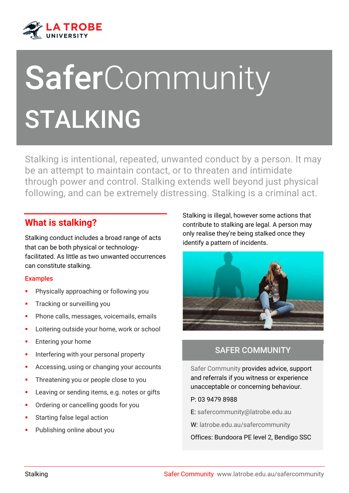

# **SaferCommunity** STALKING

Stalking is intentional, repeated, unwanted conduct by a person. It may be an attempt to maintain contact, or to threaten and intimidate through power and control. Stalking extends well beyond just physical following, and can be extremely distressing. Stalking is a criminal act.

# **What is stalking?**

Stalking conduct includes a broad range of acts that can be both physical or technologyfacilitated. As little as two unwanted occurrences can constitute stalking.

#### Examples

- Physically approaching or following you
- **Tracking or surveilling you**
- **Phone calls, messages, voicemails, emails**
- **EXECUTE:** Loitering outside your home, work or school
- **Entering your home**
- **Interfering with your personal property**
- **Accessing, using or changing your accounts**
- **Threatening you or people close to you**
- **Leaving or sending items, e.g. notes or gifts**
- **•** Ordering or cancelling goods for you
- Starting false legal action
- Publishing online about you

Stalking is illegal, however some actions that contribute to stalking are legal. A person may only realise they're being stalked once they identify a pattern of incidents.



# SAFER COMMUNITY

Safer Community provides advice, support and referrals if you witness or experience unacceptable or concerning behaviour.

- P: 03 9479 8988
- E: [safercommunity@latrobe.edu.au](mailto:safercommunity@latrobe.edu.au)
- W: [latrobe.edu.au/safercommunity](http://www.latrobe.edu.au/safercommunity)

Offices: Bundoora PE level 2, Bendigo SSC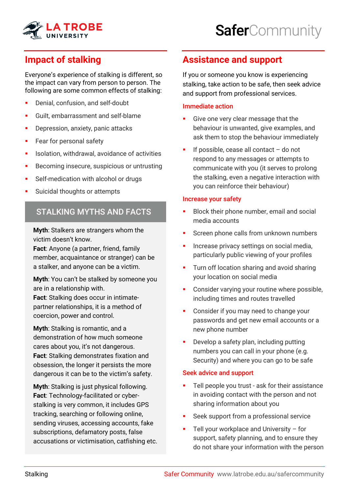

# **Impact of stalking**

Everyone's experience of stalking is different, so the impact can vary from person to person. The following are some common effects of stalking:

- **Denial, confusion, and self-doubt**
- Guilt, embarrassment and self-blame
- **•** Depression, anxiety, panic attacks
- **Fear for personal safety**
- **In Isolation, withdrawal, avoidance of activities**
- **Becoming insecure, suspicious or untrusting**
- **Self-medication with alcohol or drugs**
- Suicidal thoughts or attempts

## STALKING MYTHS AND FACTS

**Myth**: Stalkers are strangers whom the victim doesn't know.

**Fact**: Anyone (a partner, friend, family member, acquaintance or stranger) can be a stalker, and anyone can be a victim.

**Myth**: You can't be stalked by someone you are in a relationship with. **Fact**: Stalking does occur in intimatepartner relationships, it is a method of coercion, power and control.

**Myth**: Stalking is romantic, and a demonstration of how much someone cares about you, it's not dangerous. **Fact**: Stalking demonstrates fixation and obsession, the longer it persists the more dangerous it can be to the victim's safety.

**Myth**: Stalking is just physical following. **Fact**: Technology-facilitated or cyberstalking is very common, it includes GPS tracking, searching or following online, sending viruses, accessing accounts, fake subscriptions, defamatory posts, false accusations or victimisation, catfishing etc.

# **Assistance and support**

If you or someone you know is experiencing stalking, take action to be safe, then seek advice and support from professional services.

#### Immediate action

- Give one very clear message that the behaviour is unwanted, give examples, and ask them to stop the behaviour immediately
- If possible, cease all contact do not respond to any messages or attempts to communicate with you (it serves to prolong the stalking, even a negative interaction with you can reinforce their behaviour)

#### Increase your safety

- Block their phone number, email and social media accounts
- Screen phone calls from unknown numbers
- Increase privacy settings on social media, particularly public viewing of your profiles
- **Turn off location sharing and avoid sharing** your location on social media
- Consider varying your routine where possible, including times and routes travelled
- Consider if you may need to change your passwords and get new email accounts or a new phone number
- Develop a safety plan, including putting numbers you can call in your phone (e.g. Security) and where you can go to be safe

#### Seek advice and support

- **Tell people you trust ask for their assistance** in avoiding contact with the person and not sharing information about you
- Seek support from a professional service
- Tell your workplace and University for support, safety planning, and to ensure they do not share your information with the person